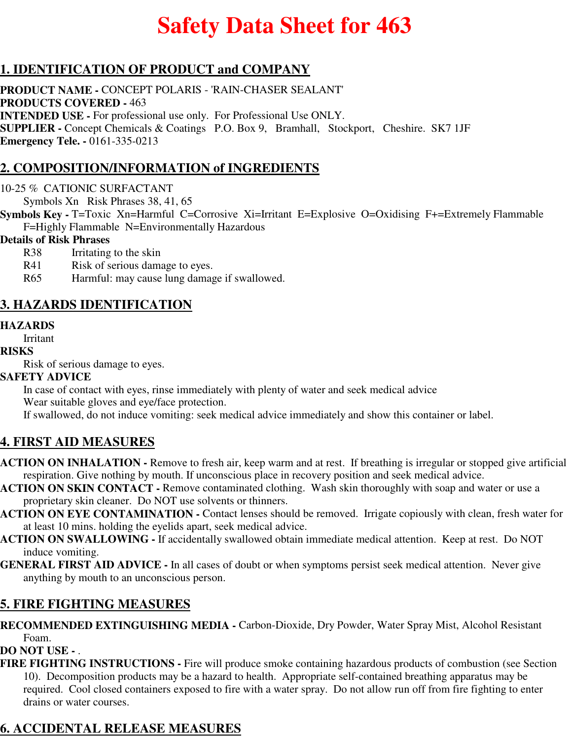# **Safety Data Sheet for 463**

# **1. IDENTIFICATION OF PRODUCT and COMPANY**

**PRODUCT NAME -** CONCEPT POLARIS - 'RAIN-CHASER SEALANT' **PRODUCTS COVERED -** 463 **INTENDED USE -** For professional use only. For Professional Use ONLY. **SUPPLIER -** Concept Chemicals & Coatings P.O. Box 9, Bramhall, Stockport, Cheshire. SK7 1JF **Emergency Tele. -** 0161-335-0213

# **2. COMPOSITION/INFORMATION of INGREDIENTS**

10-25 % CATIONIC SURFACTANT

Symbols Xn Risk Phrases 38, 41, 65

**Symbols Key -** T=Toxic Xn=Harmful C=Corrosive Xi=Irritant E=Explosive O=Oxidising F+=Extremely Flammable F=Highly Flammable N=Environmentally Hazardous

#### **Details of Risk Phrases**

- R38 Irritating to the skin
- R41 Risk of serious damage to eyes.
- R65 Harmful: may cause lung damage if swallowed.

### **3. HAZARDS IDENTIFICATION**

### **HAZARDS**

Irritant

#### **RISKS**

Risk of serious damage to eyes.

### **SAFETY ADVICE**

In case of contact with eyes, rinse immediately with plenty of water and seek medical advice

Wear suitable gloves and eye/face protection.

If swallowed, do not induce vomiting: seek medical advice immediately and show this container or label.

### **4. FIRST AID MEASURES**

- **ACTION ON INHALATION** Remove to fresh air, keep warm and at rest. If breathing is irregular or stopped give artificial respiration. Give nothing by mouth. If unconscious place in recovery position and seek medical advice.
- **ACTION ON SKIN CONTACT** Remove contaminated clothing. Wash skin thoroughly with soap and water or use a proprietary skin cleaner. Do NOT use solvents or thinners.
- **ACTION ON EYE CONTAMINATION** Contact lenses should be removed. Irrigate copiously with clean, fresh water for at least 10 mins. holding the eyelids apart, seek medical advice.
- **ACTION ON SWALLOWING** If accidentally swallowed obtain immediate medical attention. Keep at rest. Do NOT induce vomiting.
- **GENERAL FIRST AID ADVICE** In all cases of doubt or when symptoms persist seek medical attention. Never give anything by mouth to an unconscious person.

### **5. FIRE FIGHTING MEASURES**

**RECOMMENDED EXTINGUISHING MEDIA -** Carbon-Dioxide, Dry Powder, Water Spray Mist, Alcohol Resistant Foam.

**DO NOT USE -** .

**FIRE FIGHTING INSTRUCTIONS -** Fire will produce smoke containing hazardous products of combustion (see Section 10). Decomposition products may be a hazard to health. Appropriate self-contained breathing apparatus may be required. Cool closed containers exposed to fire with a water spray. Do not allow run off from fire fighting to enter drains or water courses.

# **6. ACCIDENTAL RELEASE MEASURES**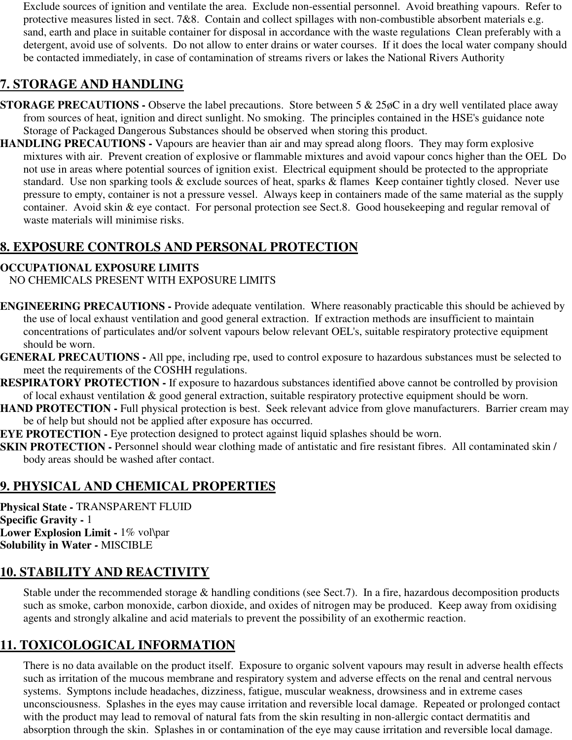Exclude sources of ignition and ventilate the area. Exclude non-essential personnel. Avoid breathing vapours. Refer to protective measures listed in sect. 7&8. Contain and collect spillages with non-combustible absorbent materials e.g. sand, earth and place in suitable container for disposal in accordance with the waste regulations Clean preferably with a detergent, avoid use of solvents. Do not allow to enter drains or water courses. If it does the local water company should be contacted immediately, in case of contamination of streams rivers or lakes the National Rivers Authority

# **7. STORAGE AND HANDLING**

- **STORAGE PRECAUTIONS -** Observe the label precautions. Store between 5 & 25 $\phi$ C in a dry well ventilated place away from sources of heat, ignition and direct sunlight. No smoking. The principles contained in the HSE's guidance note Storage of Packaged Dangerous Substances should be observed when storing this product.
- **HANDLING PRECAUTIONS** Vapours are heavier than air and may spread along floors. They may form explosive mixtures with air. Prevent creation of explosive or flammable mixtures and avoid vapour concs higher than the OEL Do not use in areas where potential sources of ignition exist. Electrical equipment should be protected to the appropriate standard. Use non sparking tools & exclude sources of heat, sparks & flames Keep container tightly closed. Never use pressure to empty, container is not a pressure vessel. Always keep in containers made of the same material as the supply container. Avoid skin & eye contact. For personal protection see Sect.8. Good housekeeping and regular removal of waste materials will minimise risks.

# **8. EXPOSURE CONTROLS AND PERSONAL PROTECTION**

### **OCCUPATIONAL EXPOSURE LIMITS**

NO CHEMICALS PRESENT WITH EXPOSURE LIMITS

- **ENGINEERING PRECAUTIONS** Provide adequate ventilation. Where reasonably practicable this should be achieved by the use of local exhaust ventilation and good general extraction. If extraction methods are insufficient to maintain concentrations of particulates and/or solvent vapours below relevant OEL's, suitable respiratory protective equipment should be worn.
- **GENERAL PRECAUTIONS** All ppe, including rpe, used to control exposure to hazardous substances must be selected to meet the requirements of the COSHH regulations.
- **RESPIRATORY PROTECTION** If exposure to hazardous substances identified above cannot be controlled by provision of local exhaust ventilation & good general extraction, suitable respiratory protective equipment should be worn.
- **HAND PROTECTION Full physical protection is best. Seek relevant advice from glove manufacturers. Barrier cream may** be of help but should not be applied after exposure has occurred.

**EYE PROTECTION -** Eye protection designed to protect against liquid splashes should be worn.

**SKIN PROTECTION -** Personnel should wear clothing made of antistatic and fire resistant fibres. All contaminated skin / body areas should be washed after contact.

# **9. PHYSICAL AND CHEMICAL PROPERTIES**

**Physical State -** TRANSPARENT FLUID **Specific Gravity -** 1 **Lower Explosion Limit - 1% vol\par Solubility in Water -** MISCIBLE

# **10. STABILITY AND REACTIVITY**

Stable under the recommended storage & handling conditions (see Sect.7). In a fire, hazardous decomposition products such as smoke, carbon monoxide, carbon dioxide, and oxides of nitrogen may be produced. Keep away from oxidising agents and strongly alkaline and acid materials to prevent the possibility of an exothermic reaction.

# **11. TOXICOLOGICAL INFORMATION**

There is no data available on the product itself. Exposure to organic solvent vapours may result in adverse health effects such as irritation of the mucous membrane and respiratory system and adverse effects on the renal and central nervous systems. Symptons include headaches, dizziness, fatigue, muscular weakness, drowsiness and in extreme cases unconsciousness. Splashes in the eyes may cause irritation and reversible local damage. Repeated or prolonged contact with the product may lead to removal of natural fats from the skin resulting in non-allergic contact dermatitis and absorption through the skin. Splashes in or contamination of the eye may cause irritation and reversible local damage.